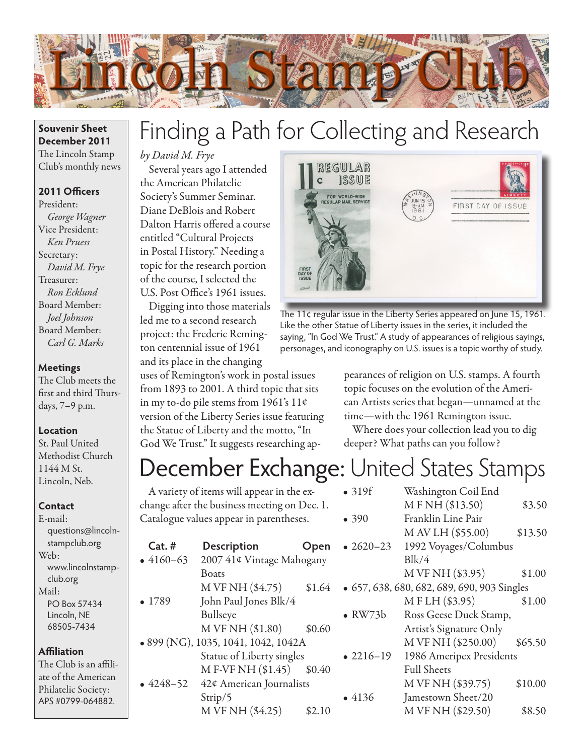

# Finding a Path for Collecting and Research

### *by David M. Frye*

Several years ago I attended the American Philatelic Society's Summer Seminar. Diane DeBlois and Robert Dalton Harris offered a course entitled "Cultural Projects in Postal History." Needing a topic for the research portion of the course, I selected the U.S. Post Office's 1961 issues.

Digging into those materials led me to a second research project: the Frederic Remington centennial issue of 1961 and its place in the changing

uses of Remington's work in postal issues from 1893 to 2001. A third topic that sits in my to-do pile stems from 1961's 11¢ version of the Liberty Series issue featuring the Statue of Liberty and the motto, "In God We Trust." It suggests researching ap-



The 11¢ regular issue in the Liberty Series appeared on June 15, 1961. Like the other Statue of Liberty issues in the series, it included the saying, "In God We Trust." A study of appearances of religious sayings, personages, and iconography on U.S. issues is a topic worthy of study.

> pearances of religion on U.S. stamps. A fourth topic focuses on the evolution of the American Artists series that began—unnamed at the time—with the 1961 Remington issue.

Where does your collection lead you to dig deeper? What paths can you follow?

## December Exchange: United States Stamps

A variety of items will appear in the exchange after the business meeting on Dec. 1. Catalogue values appear in parentheses. **Cat. # Description Open** • 4160–63 2007 41¢ Vintage Mahogany Boats M VF NH  $(\$4.75)$   $$1.64$ • 1789 John Paul Jones Blk/4 Bullseye  $M VFMH ($1.80)$  \$0.60 • 899 (NG), 1035, 1041, 1042, 1042A Statue of Liberty singles M F-VF NH (\$1.45) \$0.40 • 4248–52 42¢ American Journalists Strip/5  $M VF NH ( $4.25)$  \$2.10 • 319f Washington Coil End M F NH (\$13.50) \$3.50 • 390 Franklin Line Pair M AV LH (\$55.00) \$13.50 • 2620–23 1992 Voyages/Columbus  $Blk/4$ M VF NH (\$3.95) \$1.00 • 657, 638, 680, 682, 689, 690, 903 Singles M F LH (\$3.95) \$1.00 • RW73b Ross Geese Duck Stamp, Artist's Signature Only M VF NH (\$250.00) \$65.50 • 2216–19 1986 Ameripex Presidents Full Sheets M VF NH (\$39.75) \$10.00 • 4136 Jamestown Sheet/20 M VF NH (\$29.50) \$8.50

**Souvenir Sheet December 2011** The Lincoln Stamp Club's monthly news

#### **2011 Officers**

President: *George Wagner* Vice President: *Ken Pruess* Secretary: *David M. Frye* Treasurer: *Ron Ecklund* Board Member: *Joel Johnson* Board Member: *Carl G. Marks*

#### **Meetings**

The Club meets the first and third Thursdays, 7–9 p.m.

#### **Location**

St. Paul United Methodist Church 1144 M St. Lincoln, Neb.

#### **Contact**

E-mail: questions@lincolnstampclub.org Web: www.lincolnstampclub.org Mail: PO Box 57434 Lincoln, NE 68505-7434

#### **Affiliation**

The Club is an affiliate of the American Philatelic Society: APS #0799-064882.